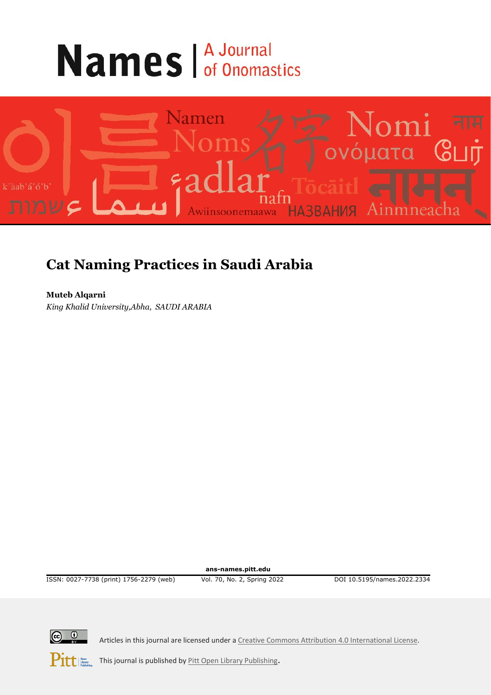# **Names A Journal**



## **Cat Naming Practices in Saudi Arabia**

**Muteb Alqarni** *King Khalid University,Abha, SAUDI ARABIA*

**ans-names.pitt.edu**

ISSN: 0027-7738 (print) 1756-2279 (web) Vol. 70, No. 2, Spring 2022 DOI 10.5195/names.2022.2334



Articles in this journal are licensed under [a Creative Commons Attribution 4.0 International License.](https://creativecommons.org/licenses/by/4.0/)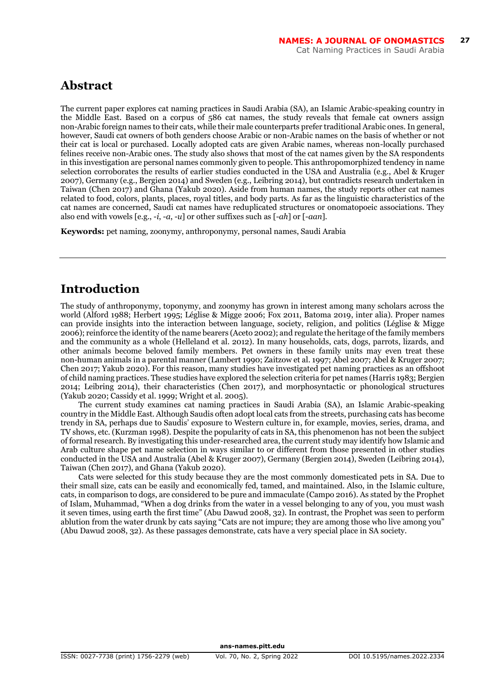## **Abstract**

The current paper explores cat naming practices in Saudi Arabia (SA), an Islamic Arabic-speaking country in the Middle East. Based on a corpus of 586 cat names, the study reveals that female cat owners assign non-Arabic foreign names to their cats, while their male counterparts prefer traditional Arabic ones. In general, however, Saudi cat owners of both genders choose Arabic or non-Arabic names on the basis of whether or not their cat is local or purchased. Locally adopted cats are given Arabic names, whereas non-locally purchased felines receive non-Arabic ones. The study also shows that most of the cat names given by the SA respondents in this investigation are personal names commonly given to people. This anthropomorphized tendency in name selection corroborates the results of earlier studies conducted in the USA and Australia (e.g., Abel & Kruger 2007), Germany (e.g., Bergien 2014) and Sweden (e.g., Leibring 2014), but contradicts research undertaken in Taiwan (Chen 2017) and Ghana (Yakub 2020). Aside from human names, the study reports other cat names related to food, colors, plants, places, royal titles, and body parts. As far as the linguistic characteristics of the cat names are concerned, Saudi cat names have reduplicated structures or onomatopoeic associations. They also end with vowels [e.g., -*i*, -*a*, -*u*] or other suffixes such as [-*ah*] or [-*aan*].

**Keywords:** pet naming, zoonymy, anthroponymy, personal names, Saudi Arabia

## **Introduction**

The study of anthroponymy, toponymy, and zoonymy has grown in interest among many scholars across the world (Alford 1988; Herbert 1995; Léglise & Migge 2006; Fox 2011, Batoma 2019, inter alia). Proper names can provide insights into the interaction between language, society, religion, and politics (Léglise & Migge 2006); reinforce the identity of the name bearers (Aceto 2002); and regulate the heritage of the family members and the community as a whole (Helleland et al. 2012). In many households, cats, dogs, parrots, lizards, and other animals become beloved family members. Pet owners in these family units may even treat these non-human animals in a parental manner (Lambert 1990; Zaitzow et al. 1997; Abel 2007; Abel & Kruger 2007; Chen 2017; Yakub 2020). For this reason, many studies have investigated pet naming practices as an offshoot of child naming practices. These studies have explored the selection criteria for pet names (Harris 1983; Bergien 2014; Leibring 2014), their characteristics (Chen 2017), and morphosyntactic or phonological structures (Yakub 2020; Cassidy et al. 1999; Wright et al. 2005).

The current study examines cat naming practices in Saudi Arabia (SA), an Islamic Arabic-speaking country in the Middle East. Although Saudis often adopt local cats from the streets, purchasing cats has become trendy in SA, perhaps due to Saudis' exposure to Western culture in, for example, movies, series, drama, and TV shows, etc. (Kurzman 1998). Despite the popularity of cats in SA, this phenomenon has not been the subject of formal research. By investigating this under-researched area, the current study may identify how Islamic and Arab culture shape pet name selection in ways similar to or different from those presented in other studies conducted in the USA and Australia (Abel & Kruger 2007), Germany (Bergien 2014), Sweden (Leibring 2014), Taiwan (Chen 2017), and Ghana (Yakub 2020).

Cats were selected for this study because they are the most commonly domesticated pets in SA. Due to their small size, cats can be easily and economically fed, tamed, and maintained. Also, in the Islamic culture, cats, in comparison to dogs, are considered to be pure and immaculate (Campo 2016). As stated by the Prophet of Islam, Muhammad, "When a dog drinks from the water in a vessel belonging to any of you, you must wash it seven times, using earth the first time" (Abu Dawud 2008, 32). In contrast, the Prophet was seen to perform ablution from the water drunk by cats saying "Cats are not impure; they are among those who live among you" (Abu Dawud 2008, 32). As these passages demonstrate, cats have a very special place in SA society.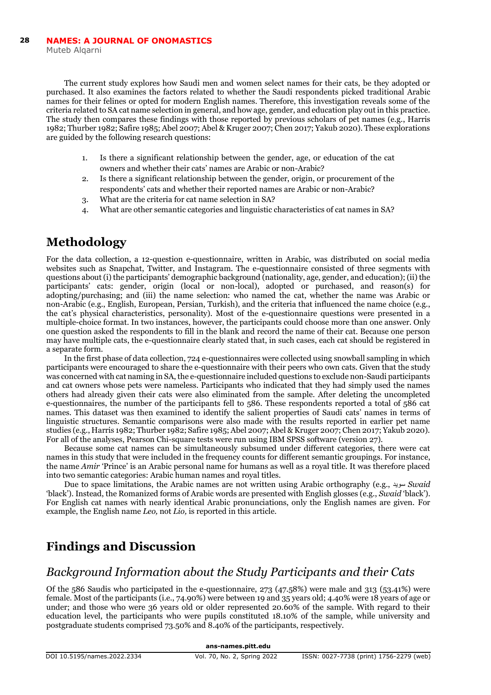The current study explores how Saudi men and women select names for their cats, be they adopted or purchased. It also examines the factors related to whether the Saudi respondents picked traditional Arabic names for their felines or opted for modern English names. Therefore, this investigation reveals some of the criteria related to SA cat name selection in general, and how age, gender, and education play out in this practice. The study then compares these findings with those reported by previous scholars of pet names (e.g., Harris 1982; Thurber 1982; Safire 1985; Abel 2007; Abel & Kruger 2007; Chen 2017; Yakub 2020). These explorations are guided by the following research questions:

- 1. Is there a significant relationship between the gender, age, or education of the cat owners and whether their cats' names are Arabic or non-Arabic?
- 2. Is there a significant relationship between the gender, origin, or procurement of the respondents' cats and whether their reported names are Arabic or non-Arabic?
- 3. What are the criteria for cat name selection in SA?
- 4. What are other semantic categories and linguistic characteristics of cat names in SA?

## **Methodology**

For the data collection, a 12-question e-questionnaire, written in Arabic, was distributed on social media websites such as Snapchat, Twitter, and Instagram. The e-questionnaire consisted of three segments with questions about (i) the participants' demographic background (nationality, age, gender, and education); (ii) the participants' cats: gender, origin (local or non-local), adopted or purchased, and reason(s) for adopting/purchasing; and (iii) the name selection: who named the cat, whether the name was Arabic or non-Arabic (e.g., English, European, Persian, Turkish), and the criteria that influenced the name choice (e.g., the cat's physical characteristics, personality). Most of the e-questionnaire questions were presented in a multiple-choice format. In two instances, however, the participants could choose more than one answer. Only one question asked the respondents to fill in the blank and record the name of their cat. Because one person may have multiple cats, the e-questionnaire clearly stated that, in such cases, each cat should be registered in a separate form.

In the first phase of data collection, 724 e-questionnaires were collected using snowball sampling in which participants were encouraged to share the e-questionnaire with their peers who own cats. Given that the study was concerned with cat naming in SA, the e-questionnaire included questions to exclude non-Saudi participants and cat owners whose pets were nameless. Participants who indicated that they had simply used the names others had already given their cats were also eliminated from the sample. After deleting the uncompleted e-questionnaires, the number of the participants fell to  $586$ . These respondents reported a total of  $586$  cat names. This dataset was then examined to identify the salient properties of Saudi cats' names in terms of linguistic structures. Semantic comparisons were also made with the results reported in earlier pet name studies (e.g., Harris 1982; Thurber 1982; Safire 1985; Abel 2007; Abel & Kruger 2007; Chen 2017; Yakub 2020). For all of the analyses, Pearson Chi-square tests were run using IBM SPSS software (version 27).

Because some cat names can be simultaneously subsumed under different categories, there were cat names in this study that were included in the frequency counts for different semantic groupings. For instance, the name *Amir* 'Prince' is an Arabic personal name for humans as well as a royal title. It was therefore placed into two semantic categories: Arabic human names and royal titles.

Due to space limitations, the Arabic names are not written using Arabic orthography (e.g., سويد *Swaid* 'black'). Instead, the Romanized forms of Arabic words are presented with English glosses (e.g., *Swaid* 'black'). For English cat names with nearly identical Arabic pronunciations, only the English names are given. For example, the English name *Leo,* not *Lio,* is reported in this article.

## **Findings and Discussion**

## *Background Information about the Study Participants and their Cats*

Of the 586 Saudis who participated in the e-questionnaire, 273 (47.58%) were male and 313 (53.41%) were female. Most of the participants (i.e., 74.90%) were between 19 and 35 years old; 4.40% were 18 years of age or under; and those who were 36 years old or older represented 20.60% of the sample. With regard to their education level, the participants who were pupils constituted 18.10% of the sample, while university and postgraduate students comprised 73.50% and 8.40% of the participants, respectively.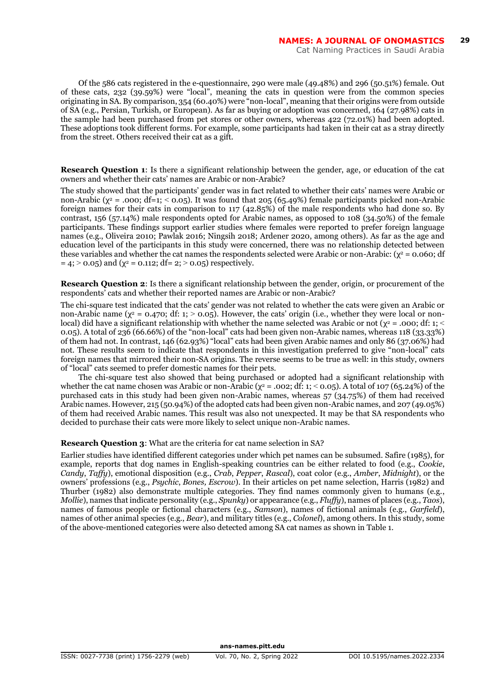Of the 586 cats registered in the e-questionnaire, 290 were male (49.48%) and 296 (50.51%) female. Out of these cats, 232 (39.59%) were "local", meaning the cats in question were from the common species originating in SA. By comparison, 354 (60.40%) were "non-local", meaning that their origins were from outside of SA (e.g., Persian, Turkish, or European). As far as buying or adoption was concerned, 164 (27.98%) cats in the sample had been purchased from pet stores or other owners, whereas 422 (72.01%) had been adopted. These adoptions took different forms. For example, some participants had taken in their cat as a stray directly from the street. Others received their cat as a gift.

**Research Question 1**: Is there a significant relationship between the gender, age, or education of the cat owners and whether their cats' names are Arabic or non-Arabic?

The study showed that the participants' gender was in fact related to whether their cats' names were Arabic or non-Arabic ( $\chi^2$  = .000; df=1; < 0.05). It was found that 205 (65.49%) female participants picked non-Arabic foreign names for their cats in comparison to 117 (42.85%) of the male respondents who had done so. By contrast, 156 (57.14%) male respondents opted for Arabic names, as opposed to 108 (34.50%) of the female participants. These findings support earlier studies where females were reported to prefer foreign language names (e.g., Oliveira 2010; Pawlak 2016; Ningsih 2018; Ardener 2020, among others). As far as the age and education level of the participants in this study were concerned, there was no relationship detected between these variables and whether the cat names the respondents selected were Arabic or non-Arabic: ( $\chi^2$  = 0.060; df  $= 4$ ;  $> 0.05$ ) and ( $\chi^2 = 0.112$ ; df= 2;  $> 0.05$ ) respectively.

**Research Question 2**: Is there a significant relationship between the gender, origin, or procurement of the respondents' cats and whether their reported names are Arabic or non-Arabic?

The chi-square test indicated that the cats' gender was not related to whether the cats were given an Arabic or non-Arabic name ( $\chi^2$  = 0.470; df: 1; > 0.05). However, the cats' origin (i.e., whether they were local or nonlocal) did have a significant relationship with whether the name selected was Arabic or not (χ² = .000; df: 1; < 0.05). A total of 236 (66.66%) of the "non-local" cats had been given non-Arabic names, whereas 118 (33.33%) of them had not. In contrast, 146 (62.93%) "local" cats had been given Arabic names and only 86 (37.06%) had not. These results seem to indicate that respondents in this investigation preferred to give "non-local" cats foreign names that mirrored their non-SA origins. The reverse seems to be true as well: in this study, owners of "local" cats seemed to prefer domestic names for their pets.

The chi-square test also showed that being purchased or adopted had a significant relationship with whether the cat name chosen was Arabic or non-Arabic ( $\chi^2$  = .002; df: 1; < 0.05). A total of 107 (65.24%) of the purchased cats in this study had been given non-Arabic names, whereas 57 (34.75%) of them had received Arabic names. However, 215 (50.94%) of the adopted cats had been given non-Arabic names, and 207 (49.05%) of them had received Arabic names. This result was also not unexpected. It may be that SA respondents who decided to purchase their cats were more likely to select unique non-Arabic names.

#### **Research Question 3**: What are the criteria for cat name selection in SA?

Earlier studies have identified different categories under which pet names can be subsumed. Safire (1985), for example, reports that dog names in English-speaking countries can be either related to food (e.g., *Cookie*, *Candy*, *Taffy*), emotional disposition (e.g., *Crab*, *Pepper*, *Rascal*), coat color (e.g., *Amber*, *Midnight*), or the owners' professions (e.g., *Psychic*, *Bones, Escrow*). In their articles on pet name selection, Harris (1982) and Thurber (1982) also demonstrate multiple categories. They find names commonly given to humans (e.g., *Mollie*), names that indicate personality (e.g., *Spunky*) or appearance (e.g., *Fluffy*), names of places (e.g., *Taos*), names of famous people or fictional characters (e.g., *Samson*), names of fictional animals (e.g., *Garfield*), names of other animal species (e.g., *Bear*), and military titles (e.g., *Colonel*), among others. In this study, some of the above-mentioned categories were also detected among SA cat names as shown in Table 1.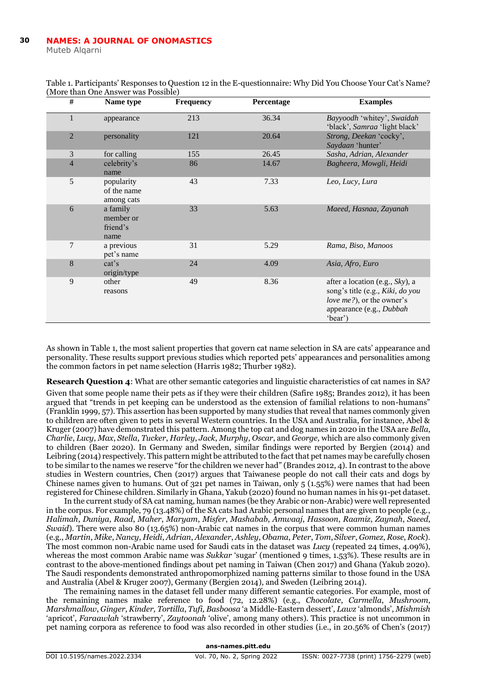Muteb Alqarni

| #              | Name type                                 | <b>Frequency</b> | Percentage | <b>Examples</b>                                                                                                                         |
|----------------|-------------------------------------------|------------------|------------|-----------------------------------------------------------------------------------------------------------------------------------------|
| 1              | appearance                                | 213              | 36.34      | Bayyoodh 'whitey', Swaidah<br>'black', Samraa 'light black'                                                                             |
| $\overline{2}$ | personality                               | 121              | 20.64      | Strong, Deekan 'cocky',<br>Saydaan 'hunter'                                                                                             |
| 3              | for calling                               | 155              | 26.45      | Sasha, Adrian, Alexander                                                                                                                |
| $\overline{4}$ | celebrity's<br>name                       | 86               | 14.67      | Bagheera, Mowgli, Heidi                                                                                                                 |
| 5              | popularity<br>of the name<br>among cats   | 43               | 7.33       | Leo, Lucy, Lura                                                                                                                         |
| 6              | a family<br>member or<br>friend's<br>name | 33               | 5.63       | Maeed, Hasnaa, Zayanah                                                                                                                  |
| 7              | a previous<br>pet's name                  | 31               | 5.29       | Rama, Biso, Manoos                                                                                                                      |
| 8              | cat's<br>origin/type                      | 24               | 4.09       | Asia, Afro, Euro                                                                                                                        |
| 9              | other<br>reasons                          | 49               | 8.36       | after a location (e.g., Sky), a<br>song's title (e.g., Kiki, do you<br>love me?), or the owner's<br>appearance (e.g., Dubbah<br>'bear') |

Table 1. Participants' Responses to Question 12 in the E-questionnaire: Why Did You Choose Your Cat's Name? (More than One Answer was Possible)

As shown in Table 1, the most salient properties that govern cat name selection in SA are cats' appearance and personality. These results support previous studies which reported pets' appearances and personalities among the common factors in pet name selection (Harris 1982; Thurber 1982).

**Research Question 4**: What are other semantic categories and linguistic characteristics of cat names in SA?

Given that some people name their pets as if they were their children (Safire 1985; Brandes 2012), it has been argued that "trends in pet keeping can be understood as the extension of familial relations to non-humans" (Franklin 1999, 57). This assertion has been supported by many studies that reveal that names commonly given to children are often given to pets in several Western countries. In the USA and Australia, for instance, Abel & Kruger (2007) have demonstrated this pattern. Among the top cat and dog names in 2020 in the USA are *Bella*, *Charlie*, *Lucy*, *Max*, *Stella*, *Tucker*, *Harley*, *Jack*, *Murphy*, *Oscar*, and *George,* which are also commonly given to children (Baer 2020). In Germany and Sweden, similar findings were reported by Bergien (2014) and Leibring (2014) respectively. This pattern might be attributed to the fact that pet names may be carefully chosen to be similar to the names we reserve "for the children we never had" (Brandes 2012, 4). In contrast to the above studies in Western countries, Chen (2017) argues that Taiwanese people do not call their cats and dogs by Chinese names given to humans. Out of 321 pet names in Taiwan, only 5 (1.55%) were names that had been registered for Chinese children. Similarly in Ghana, Yakub (2020) found no human names in his 91-pet dataset.

In the current study of SA cat naming, human names (be they Arabic or non-Arabic) were well represented in the corpus. For example, 79 (13.48%) of the SA cats had Arabic personal names that are given to people (e.g., *Halimah*, *Duniya*, *Raad*, *Maher*, *Maryam*, *Misfer*, *Mashabab*, *Amwaaj*, *Hassoon*, *Raamiz*, *Zaynah*, *Saeed*, *Swaid*). There were also 80 (13.65%) non-Arabic cat names in the corpus that were common human names (e.g., *Martin*, *Mike*, *Nancy*, *Heidi*, *Adrian*, *Alexander*, *Ashley*, *Obama*, *Peter*, *Tom*, *Silver*, *Gomez*, *Rose*, *Rock*). The most common non-Arabic name used for Saudi cats in the dataset was *Lucy* (repeated 24 times, 4.09%), whereas the most common Arabic name was *Sukkar* 'sugar' (mentioned 9 times, 1.53%). These results are in contrast to the above-mentioned findings about pet naming in Taiwan (Chen 2017) and Ghana (Yakub 2020). The Saudi respondents demonstrated anthropomorphized naming patterns similar to those found in the USA and Australia (Abel & Kruger 2007), Germany (Bergien 2014), and Sweden (Leibring 2014).

The remaining names in the dataset fell under many different semantic categories. For example, most of the remaining names make reference to food (72, 12.28%) (e.g., *Chocolate*, *Carmella*, *Mushroom*, *Marshmallow*, *Ginger*, *Kinder, Tortilla*, *Tufi, Basboosa* 'a Middle-Eastern dessert', *Lawz* 'almonds', *Mishmish* 'apricot', *Faraawlah* 'strawberry', *Zaytoonah* 'olive', among many others). This practice is not uncommon in pet naming corpora as reference to food was also recorded in other studies (i.e., in 20.56% of Chen's (2017)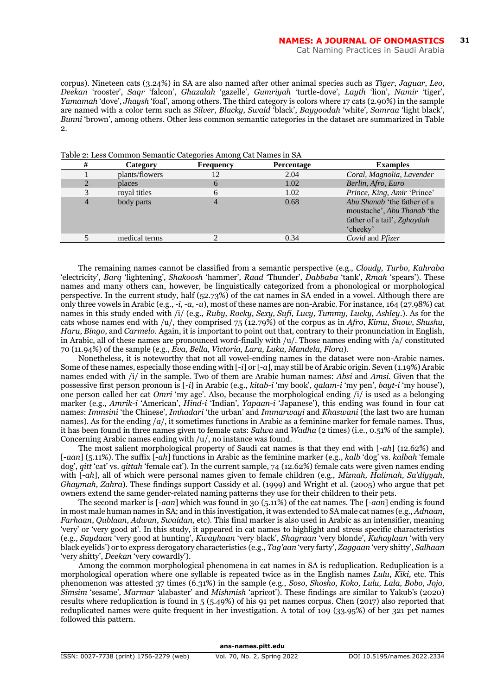corpus). Nineteen cats (3.24%) in SA are also named after other animal species such as *Tiger*, *Jaguar*, *Leo, Deekan* 'rooster', *Saqr* 'falcon', *Ghazalah* 'gazelle', *Gumriyah* 'turtle-dove', *Layth* 'lion', *Namir* 'tiger', *Yamamah* 'dove', *Jhaysh* 'foal', among others. The third category is colors where 17 cats (2.90%) in the sample are named with a color term such as *Silver*, *Blacky, Swaid* 'black', *Bayyoodah* 'white', *Samraa* 'light black', *Bunni* 'brown', among others. Other less common semantic categories in the dataset are summarized in Table  $\mathbf{Q}$ 

| #              | Category       | <b>Frequency</b> | Percentage | <b>Examples</b>                                                                                       |
|----------------|----------------|------------------|------------|-------------------------------------------------------------------------------------------------------|
|                | plants/flowers | 12               | 2.04       | Coral, Magnolia, Lavender                                                                             |
| $\overline{c}$ | places         | 6                | 1.02       | Berlin, Afro, Euro                                                                                    |
|                | royal titles   | 6                | 1.02       | Prince, King, Amir 'Prince'                                                                           |
| $\overline{4}$ | body parts     |                  | 0.68       | Abu Shanab 'the father of a<br>moustache', Abu Thanab 'the<br>father of a tail', Zghaydah<br>'cheeky' |
|                | medical terms  |                  | 0.34       | Covid and Pfizer                                                                                      |

#### Table 2: Less Common Semantic Categories Among Cat Names in SA

The remaining names cannot be classified from a semantic perspective (e.g., *Cloudy, Turbo, Kahraba*  'electricity'*, Barq* 'lightening'*, Shakoosh* 'hammer'*, Raad* 'Thunder'*, Dabbaba* 'tank'*, Rmah* 'spears'). These names and many others can, however, be linguistically categorized from a phonological or morphological perspective. In the current study, half (52.73%) of the cat names in SA ended in a vowel. Although there are only three vowels in Arabic (e.g., -*i*, -*a*, -*u*), most of these names are non-Arabic. For instance, 164 (27.98%) cat names in this study ended with /i/ (e.g., *Ruby, Rocky, Sexy, Sufi, Lucy, Tummy, Lucky, Ashley*.). As for the cats whose names end with /u/, they comprised 75 (12.79%) of the corpus as in *Afro*, *Kimu*, *Snow*, *Shushu*, *Haru*, *Bingo*, and *Carmelo*. Again, it is important to point out that, contrary to their pronunciation in English, in Arabic, all of these names are pronounced word-finally with /u/. Those names ending with /a/ constituted 70 (11.94%) of the sample (e.g., *Eva, Bella, Victoria, Lara, Luka, Mandela, Flora*).

Nonetheless, it is noteworthy that not all vowel-ending names in the dataset were non-Arabic names. Some of these names, especially those ending with [-*i*] or [-*a*], may still be of Arabic origin. Seven (1.19%) Arabic names ended with /i/ in the sample. Two of them are Arabic human names: *Absi* and *Amsi.* Given that the possessive first person pronoun is [-*i*] in Arabic (e.g., *kitab-i* 'my book', *qalam-i* 'my pen', *bayt-i* 'my house'), one person called her cat *Omri* 'my age'. Also, because the morphological ending /i/ is used as a belonging marker (e.g., *Amrik-i* 'American', *Hind-i* 'Indian', *Yapaan-i* 'Japanese'), this ending was found in four cat names: *Immsini* 'the Chinese', *Imhadari* 'the urban' and *Immarwayi* and *Khaswani* (the last two are human names). As for the ending /*a*/, it sometimes functions in Arabic as a feminine marker for female names. Thus, it has been found in three names given to female cats: *Salwa* and *Wadha* (2 times) (i.e., 0.51% of the sample). Concerning Arabic names ending with /u/, no instance was found.

The most salient morphological property of Saudi cat names is that they end with [-*ah*] (12.62%) and [-*aan*] (5.11%). The suffix [-*ah*] functions in Arabic as the feminine marker (e.g., *kalb* 'dog' vs. *kalbah* 'female dog', *qitt* 'cat' vs. *qittah* 'female cat'). In the current sample, 74 (12.62%) female cats were given names ending with  $[-ah]$ , all of which were personal names given to female children (e.g., *Miznah, Halimah, Sa'diyyah*, *Ghaymah, Zahra*). These findings support Cassidy et al. (1999) and Wright et al. (2005) who argue that pet owners extend the same gender-related naming patterns they use for their children to their pets.

The second marker is [-*aan*] which was found in 30 (5.11%) of the cat names. The [-*aan*] ending is found in most male human names in SA; and in this investigation, it was extended to SA male cat names (e.g., *Adnaan*, *Farhaan*, *Qublaan*, *Adwan*, *Swaidan,* etc). This final marker is also used in Arabic as an intensifier, meaning 'very' or 'very good at'. In this study, it appeared in cat names to highlight and stress specific characteristics (e.g., *Saydaan* 'very good at hunting', *Kwayhaan* 'very black', *Shagraan* 'very blonde', *Kuhaylaan* 'with very black eyelids') or to express derogatory characteristics (e.g., *Tag'aan* 'very farty', *Zaggaan* 'very shitty', *Salhaan* 'very shitty', *Deekan* 'very cowardly').

Among the common morphological phenomena in cat names in SA is reduplication. Reduplication is a morphological operation where one syllable is repeated twice as in the English names *Lulu*, *Kiki,* etc. This phenomenon was attested 37 times (6.31%) in the sample (e.g., *Soso, Shosho, Koko, Lulu, Lala, Bobo, Jojo, Simsim* 'sesame'*, Marmar '*alabaster' and *Mishmish* 'apricot'). These findings are similar to Yakub's (2020) results where reduplication is found in 5 (5.49%) of his 91 pet names corpus. Chen (2017) also reported that reduplicated names were quite frequent in her investigation. A total of 109 (33.95%) of her 321 pet names followed this pattern.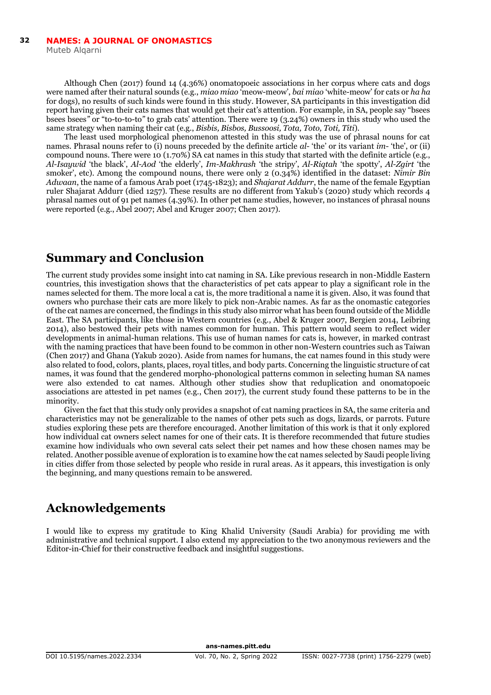Although Chen (2017) found 14 (4.36%) onomatopoeic associations in her corpus where cats and dogs were named after their natural sounds (e.g., *miao miao* 'meow-meow', *bai miao* 'white-meow' for cats or *ha ha*  for dogs), no results of such kinds were found in this study. However, SA participants in this investigation did report having given their cats names that would get their cat's attention. For example, in SA, people say "bsees bsees bsees*"* or "to-to-to-to*"* to grab cats' attention. There were 19 (3.24%) owners in this study who used the same strategy when naming their cat (e.g., *Bisbis, Bisbos, Bussoosi, Tota, Toto, Toti, Titi*).

The least used morphological phenomenon attested in this study was the use of phrasal nouns for cat names. Phrasal nouns refer to (i) nouns preceded by the definite article *al-* 'the' or its variant *im*- 'the', or (ii) compound nouns. There were 10 (1.70%) SA cat names in this study that started with the definite article (e.g., *Al-Isaywid* 'the black', *Al-Aod* 'the elderly', *Im-Makhrash* 'the stripy', *Al-Riqtah* 'the spotty', *Al-Zgirt* 'the smoker', etc). Among the compound nouns, there were only 2 (0.34%) identified in the dataset: *Nimir Bin Adwaan*, the name of a famous Arab poet (1745-1823); and *Shajarat Addurr*, the name of the female Egyptian ruler Shajarat Addurr (died 1257). These results are no different from Yakub's (2020) study which records 4 phrasal names out of 91 pet names (4.39%). In other pet name studies, however, no instances of phrasal nouns were reported (e.g., Abel 2007; Abel and Kruger 2007; Chen 2017).

## **Summary and Conclusion**

The current study provides some insight into cat naming in SA. Like previous research in non-Middle Eastern countries, this investigation shows that the characteristics of pet cats appear to play a significant role in the names selected for them. The more local a cat is, the more traditional a name it is given. Also, it was found that owners who purchase their cats are more likely to pick non-Arabic names. As far as the onomastic categories of the cat names are concerned, the findings in this study also mirror what has been found outside of the Middle East. The SA participants, like those in Western countries (e.g., Abel & Kruger 2007, Bergien 2014, Leibring 2014), also bestowed their pets with names common for human. This pattern would seem to reflect wider developments in animal-human relations. This use of human names for cats is, however, in marked contrast with the naming practices that have been found to be common in other non-Western countries such as Taiwan (Chen 2017) and Ghana (Yakub 2020). Aside from names for humans, the cat names found in this study were also related to food, colors, plants, places, royal titles, and body parts. Concerning the linguistic structure of cat names, it was found that the gendered morpho-phonological patterns common in selecting human SA names were also extended to cat names. Although other studies show that reduplication and onomatopoeic associations are attested in pet names (e.g., Chen 2017), the current study found these patterns to be in the minority.

Given the fact that this study only provides a snapshot of cat naming practices in SA, the same criteria and characteristics may not be generalizable to the names of other pets such as dogs, lizards, or parrots. Future studies exploring these pets are therefore encouraged. Another limitation of this work is that it only explored how individual cat owners select names for one of their cats. It is therefore recommended that future studies examine how individuals who own several cats select their pet names and how these chosen names may be related. Another possible avenue of exploration is to examine how the cat names selected by Saudi people living in cities differ from those selected by people who reside in rural areas. As it appears, this investigation is only the beginning, and many questions remain to be answered.

## **Acknowledgements**

I would like to express my gratitude to King Khalid University (Saudi Arabia) for providing me with administrative and technical support. I also extend my appreciation to the two anonymous reviewers and the Editor-in-Chief for their constructive feedback and insightful suggestions.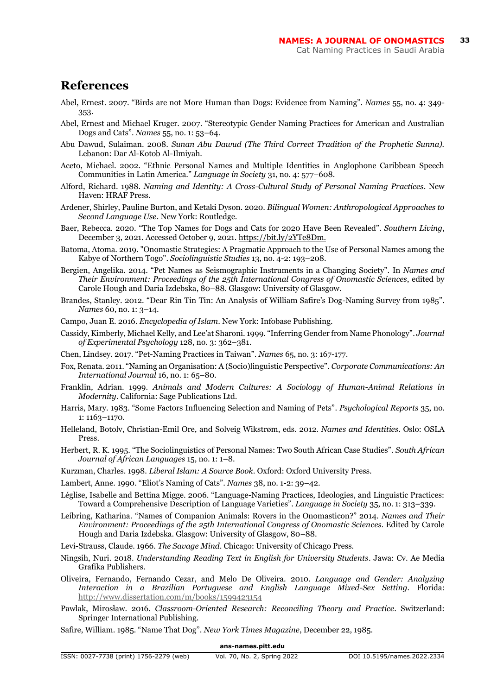### **References**

- Abel, Ernest. 2007. "Birds are not More Human than Dogs: Evidence from Naming". *Names* 55, no. 4: 349- 353.
- Abel, Ernest and Michael Kruger. 2007. "Stereotypic Gender Naming Practices for American and Australian Dogs and Cats". *Names* 55, no. 1: 53–64.
- Abu Dawud, Sulaiman. 2008. *Sunan Abu Dawud (The Third Correct Tradition of the Prophetic Sunna).* Lebanon: Dar Al-Kotob Al-Ilmiyah.
- Aceto, Michael. 2002. "Ethnic Personal Names and Multiple Identities in Anglophone Caribbean Speech Communities in Latin America." *Language in Society* 31, no. 4: 577–608.
- Alford, Richard. 1988. *Naming and Identity: A Cross-Cultural Study of Personal Naming Practices*. New Haven: HRAF Press.
- Ardener, Shirley, Pauline Burton, and Ketaki Dyson. 2020. *Bilingual Women: Anthropological Approaches to Second Language Use*. New York: Routledge.
- Baer, Rebecca. 2020. "The Top Names for Dogs and Cats for 2020 Have Been Revealed". *Southern Living*, December 3, 2021. Accessed October 9, 2021. [https://bit.ly/2YTe8Dm.](https://bit.ly/2YTe8Dm)
- Batoma, Atoma. 2019. "Onomastic Strategies: A Pragmatic Approach to the Use of Personal Names among the Kabye of Northern Togo". *Sociolinguistic Studies* 13, no. 4-2: 193–208.
- Bergien, Angelika. 2014. "Pet Names as Seismographic Instruments in a Changing Society". In *Names and Their Environment: Proceedings of the 25th International Congress of Onomastic Sciences*, edited by Carole Hough and Daria Izdebska, 80–88. Glasgow: University of Glasgow.
- Brandes, Stanley. 2012. "Dear Rin Tin Tin: An Analysis of William Safire's Dog-Naming Survey from 1985". *Names* 60, no. 1: 3–14.
- Campo, Juan E. 2016. *Encyclopedia of Islam*. New York: Infobase Publishing.
- Cassidy, Kimberly, Michael Kelly, and Lee'at Sharoni. 1999. "Inferring Gender from Name Phonology". *Journal of Experimental Psychology* 128, no. 3: 362–381.
- Chen, Lindsey. 2017. "Pet-Naming Practices in Taiwan". *Names* 65, no. 3: 167-177.
- Fox, Renata. 2011. "Naming an Organisation: A (Socio)linguistic Perspective". *Corporate Communications: An International Journal* 16, no. 1: 65–80.
- Franklin, Adrian. 1999. *Animals and Modern Cultures: A Sociology of Human-Animal Relations in Modernity*. California: Sage Publications Ltd.
- Harris, Mary. 1983. "Some Factors Influencing Selection and Naming of Pets". *Psychological Reports* 35, no. 1: 1163–1170.
- Helleland, Botolv, Christian-Emil Ore, and Solveig Wikstrøm, eds. 2012. *Names and Identities*. Oslo: OSLA Press.
- Herbert, R. K. 1995. "The Sociolinguistics of Personal Names: Two South African Case Studies". *South African Journal of African Languages* 15, no. 1: 1–8.
- Kurzman, Charles. 1998. *Liberal Islam: A Source Book*. Oxford: Oxford University Press.
- Lambert, Anne. 1990. "Eliot's Naming of Cats". *Names* 38, no. 1-2: 39–42.
- Léglise, Isabelle and Bettina Migge. 2006. "Language-Naming Practices, Ideologies, and Linguistic Practices: Toward a Comprehensive Description of Language Varieties". *Language in Society* 35, no. 1: 313–339.
- Leibring, Katharina. "Names of Companion Animals: Rovers in the Onomasticon?" 2014. *Names and Their Environment: Proceedings of the 25th International Congress of Onomastic Sciences.* Edited by Carole Hough and Daria Izdebska. Glasgow: University of Glasgow, 80–88.
- Levi-Strauss, Claude. 1966. *The Savage Mind*. Chicago: University of Chicago Press.
- Ningsih, Nuri. 2018. *Understanding Reading Text in English for University Students*. Jawa: Cv. Ae Media Grafika Publishers.
- Oliveira, Fernando, Fernando Cezar, and Melo De Oliveira. 2010. *Language and Gender: Analyzing Interaction in a Brazilian Portuguese and English Language Mixed-Sex Setting*. Florida: <http://www.dissertation.com/m/books/1599423154>
- Pawlak, Mirosław. 2016. *Classroom-Oriented Research: Reconciling Theory and Practice*. Switzerland: Springer International Publishing.
- Safire, William. 1985. "Name That Dog". *New York Times Magazine*, December 22, 1985.